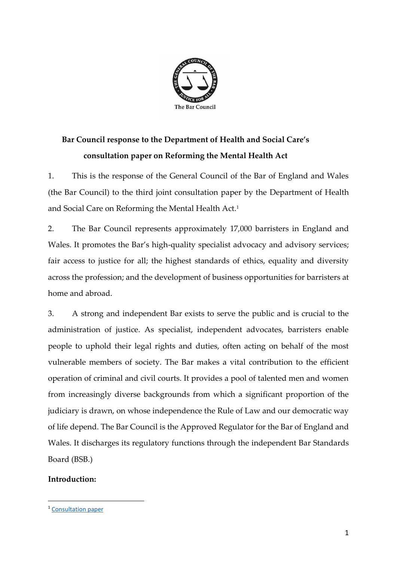

# **Bar Council response to the Department of Health and Social Care's consultation paper on Reforming the Mental Health Act**

1. This is the response of the General Council of the Bar of England and Wales (the Bar Council) to the third joint consultation paper by the Department of Health and Social Care on Reforming the Mental Health Act.<sup>1</sup>

2. The Bar Council represents approximately 17,000 barristers in England and Wales. It promotes the Bar's high-quality specialist advocacy and advisory services; fair access to justice for all; the highest standards of ethics, equality and diversity across the profession; and the development of business opportunities for barristers at home and abroad.

3. A strong and independent Bar exists to serve the public and is crucial to the administration of justice. As specialist, independent advocates, barristers enable people to uphold their legal rights and duties, often acting on behalf of the most vulnerable members of society. The Bar makes a vital contribution to the efficient operation of criminal and civil courts. It provides a pool of talented men and women from increasingly diverse backgrounds from which a significant proportion of the judiciary is drawn, on whose independence the Rule of Law and our democratic way of life depend. The Bar Council is the Approved Regulator for the Bar of England and Wales. It discharges its regulatory functions through the independent Bar Standards Board (BSB.)

## **Introduction:**

<sup>&</sup>lt;sup>1</sup> [Consultation paper](https://www.gov.uk/government/consultations/reforming-the-mental-health-act)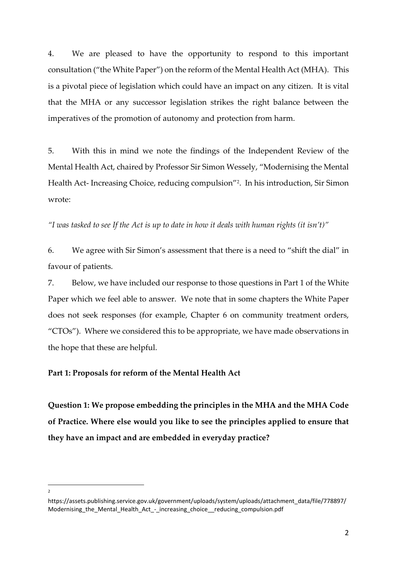4. We are pleased to have the opportunity to respond to this important consultation ("the White Paper") on the reform of the Mental Health Act (MHA). This is a pivotal piece of legislation which could have an impact on any citizen. It is vital that the MHA or any successor legislation strikes the right balance between the imperatives of the promotion of autonomy and protection from harm.

5. With this in mind we note the findings of the Independent Review of the Mental Health Act, chaired by Professor Sir Simon Wessely, "Modernising the Mental Health Act- Increasing Choice, reducing compulsion"<sup>2</sup> . In his introduction, Sir Simon wrote:

*"I was tasked to see If the Act is up to date in how it deals with human rights (it isn't)"*

6. We agree with Sir Simon's assessment that there is a need to "shift the dial" in favour of patients.

7. Below, we have included our response to those questions in Part 1 of the White Paper which we feel able to answer. We note that in some chapters the White Paper does not seek responses (for example, Chapter 6 on community treatment orders, "CTOs"). Where we considered this to be appropriate, we have made observations in the hope that these are helpful.

## **Part 1: Proposals for reform of the Mental Health Act**

**Question 1: We propose embedding the principles in the MHA and the MHA Code of Practice. Where else would you like to see the principles applied to ensure that they have an impact and are embedded in everyday practice?**

 $\overline{2}$ 

https://assets.publishing.service.gov.uk/government/uploads/system/uploads/attachment\_data/file/778897/ Modernising\_the\_Mental\_Health\_Act\_-\_increasing\_choice\_\_reducing\_compulsion.pdf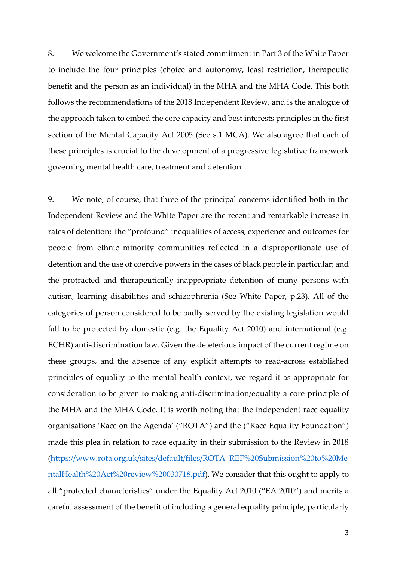8. We welcome the Government's stated commitment in Part 3 of the White Paper to include the four principles (choice and autonomy, least restriction, therapeutic benefit and the person as an individual) in the MHA and the MHA Code. This both follows the recommendations of the 2018 Independent Review, and is the analogue of the approach taken to embed the core capacity and best interests principles in the first section of the Mental Capacity Act 2005 (See s.1 MCA). We also agree that each of these principles is crucial to the development of a progressive legislative framework governing mental health care, treatment and detention.

9. We note, of course, that three of the principal concerns identified both in the Independent Review and the White Paper are the recent and remarkable increase in rates of detention; the "profound" inequalities of access, experience and outcomes for people from ethnic minority communities reflected in a disproportionate use of detention and the use of coercive powers in the cases of black people in particular; and the protracted and therapeutically inappropriate detention of many persons with autism, learning disabilities and schizophrenia (See White Paper, p.23). All of the categories of person considered to be badly served by the existing legislation would fall to be protected by domestic (e.g. the Equality Act 2010) and international (e.g. ECHR) anti-discrimination law. Given the deleterious impact of the current regime on these groups, and the absence of any explicit attempts to read-across established principles of equality to the mental health context, we regard it as appropriate for consideration to be given to making anti-discrimination/equality a core principle of the MHA and the MHA Code. It is worth noting that the independent race equality organisations 'Race on the Agenda' ("ROTA") and the ("Race Equality Foundation") made this plea in relation to race equality in their submission to the Review in 2018 [\(https://www.rota.org.uk/sites/default/files/ROTA\\_REF%20Submission%20to%20Me](https://www.rota.org.uk/sites/default/files/ROTA_REF%20Submission%20to%20MentalHealth%20Act%20review%20030718.pdf) [ntalHealth%20Act%20review%20030718.pdf\)](https://www.rota.org.uk/sites/default/files/ROTA_REF%20Submission%20to%20MentalHealth%20Act%20review%20030718.pdf). We consider that this ought to apply to all "protected characteristics" under the Equality Act 2010 ("EA 2010") and merits a careful assessment of the benefit of including a general equality principle, particularly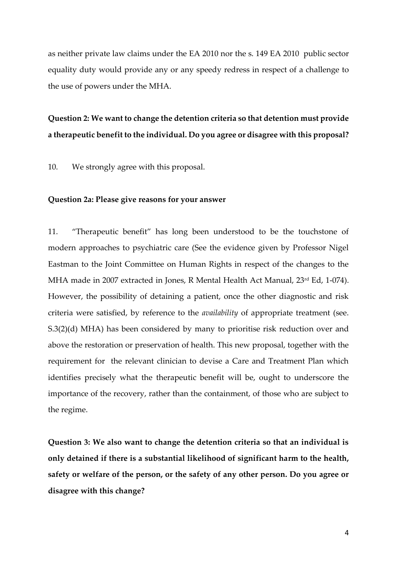as neither private law claims under the EA 2010 nor the s. 149 EA 2010 public sector equality duty would provide any or any speedy redress in respect of a challenge to the use of powers under the MHA.

# **Question 2: We want to change the detention criteria so that detention must provide a therapeutic benefit to the individual. Do you agree or disagree with this proposal?**

10. We strongly agree with this proposal.

### **Question 2a: Please give reasons for your answer**

11. "Therapeutic benefit" has long been understood to be the touchstone of modern approaches to psychiatric care (See the evidence given by Professor Nigel Eastman to the Joint Committee on Human Rights in respect of the changes to the MHA made in 2007 extracted in Jones, R Mental Health Act Manual, 23rd Ed, 1-074). However, the possibility of detaining a patient, once the other diagnostic and risk criteria were satisfied, by reference to the *availability* of appropriate treatment (see. S.3(2)(d) MHA) has been considered by many to prioritise risk reduction over and above the restoration or preservation of health. This new proposal, together with the requirement for the relevant clinician to devise a Care and Treatment Plan which identifies precisely what the therapeutic benefit will be, ought to underscore the importance of the recovery, rather than the containment, of those who are subject to the regime.

**Question 3: We also want to change the detention criteria so that an individual is only detained if there is a substantial likelihood of significant harm to the health, safety or welfare of the person, or the safety of any other person. Do you agree or disagree with this change?**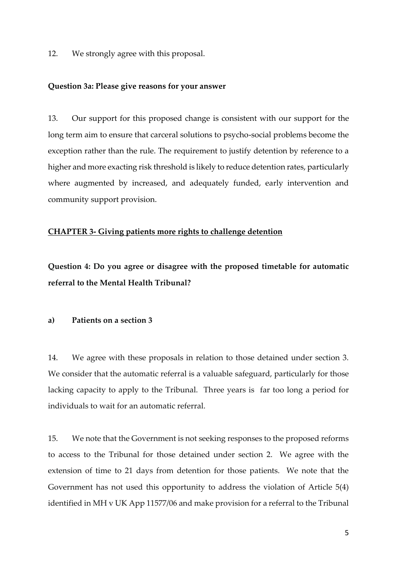12. We strongly agree with this proposal.

#### **Question 3a: Please give reasons for your answer**

13. Our support for this proposed change is consistent with our support for the long term aim to ensure that carceral solutions to psycho-social problems become the exception rather than the rule. The requirement to justify detention by reference to a higher and more exacting risk threshold is likely to reduce detention rates, particularly where augmented by increased, and adequately funded, early intervention and community support provision.

### **CHAPTER 3- Giving patients more rights to challenge detention**

**Question 4: Do you agree or disagree with the proposed timetable for automatic referral to the Mental Health Tribunal?**

## **a) Patients on a section 3**

14. We agree with these proposals in relation to those detained under section 3. We consider that the automatic referral is a valuable safeguard, particularly for those lacking capacity to apply to the Tribunal. Three years is far too long a period for individuals to wait for an automatic referral.

15. We note that the Government is not seeking responses to the proposed reforms to access to the Tribunal for those detained under section 2. We agree with the extension of time to 21 days from detention for those patients. We note that the Government has not used this opportunity to address the violation of Article 5(4) identified in MH v UK App 11577/06 and make provision for a referral to the Tribunal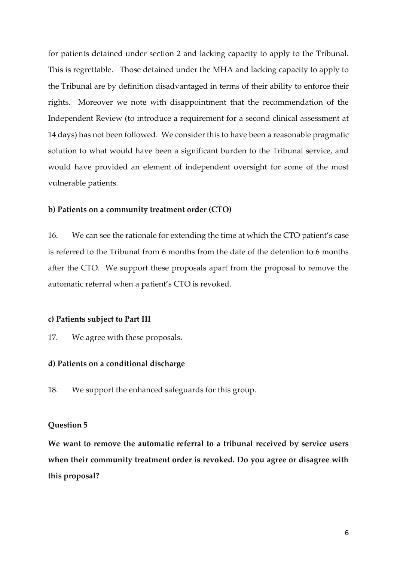for patients detained under section 2 and lacking capacity to apply to the Tribunal. This is regrettable. Those detained under the MHA and lacking capacity to apply to the Tribunal are by definition disadvantaged in terms of their ability to enforce their rights. Moreover we note with disappointment that the recommendation of the Independent Review (to introduce a requirement for a second clinical assessment at 14 days) has not been followed. We consider this to have been a reasonable pragmatic solution to what would have been a significant burden to the Tribunal service, and would have provided an element of independent oversight for some of the most vulnerable patients.

### **b) Patients on a community treatment order (CTO)**

16. We can see the rationale for extending the time at which the CTO patient's case is referred to the Tribunal from 6 months from the date of the detention to 6 months after the CTO. We support these proposals apart from the proposal to remove the automatic referral when a patient's CTO is revoked.

#### **c) Patients subject to Part III**

17. We agree with these proposals.

### **d) Patients on a conditional discharge**

18. We support the enhanced safeguards for this group.

#### **Question 5**

**We want to remove the automatic referral to a tribunal received by service users when their community treatment order is revoked. Do you agree or disagree with this proposal?**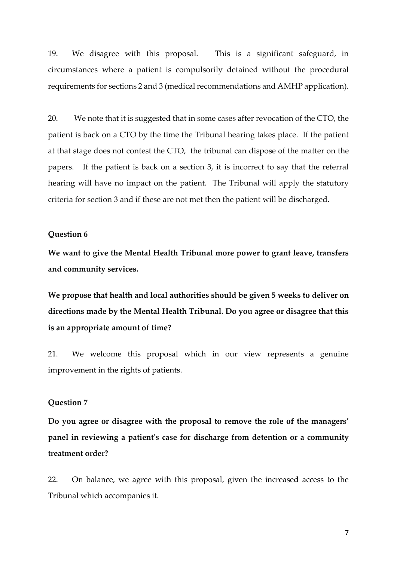19. We disagree with this proposal. This is a significant safeguard, in circumstances where a patient is compulsorily detained without the procedural requirements for sections 2 and 3 (medical recommendations and AMHP application).

20. We note that it is suggested that in some cases after revocation of the CTO, the patient is back on a CTO by the time the Tribunal hearing takes place. If the patient at that stage does not contest the CTO, the tribunal can dispose of the matter on the papers. If the patient is back on a section 3, it is incorrect to say that the referral hearing will have no impact on the patient. The Tribunal will apply the statutory criteria for section 3 and if these are not met then the patient will be discharged.

#### **Question 6**

**We want to give the Mental Health Tribunal more power to grant leave, transfers and community services.**

**We propose that health and local authorities should be given 5 weeks to deliver on directions made by the Mental Health Tribunal. Do you agree or disagree that this is an appropriate amount of time?**

21. We welcome this proposal which in our view represents a genuine improvement in the rights of patients.

## **Question 7**

**Do you agree or disagree with the proposal to remove the role of the managers' panel in reviewing a patient's case for discharge from detention or a community treatment order?**

22. On balance, we agree with this proposal, given the increased access to the Tribunal which accompanies it.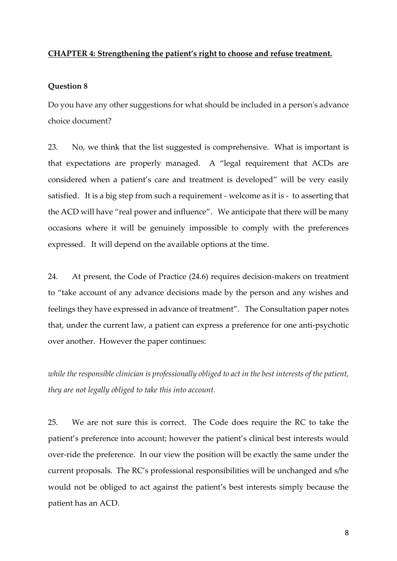## **CHAPTER 4: Strengthening the patient's right to choose and refuse treatment.**

#### **Question 8**

Do you have any other suggestions for what should be included in a person's advance choice document?

23. No, we think that the list suggested is comprehensive. What is important is that expectations are properly managed. A "legal requirement that ACDs are considered when a patient's care and treatment is developed" will be very easily satisfied. It is a big step from such a requirement - welcome as it is - to asserting that the ACD will have "real power and influence". We anticipate that there will be many occasions where it will be genuinely impossible to comply with the preferences expressed. It will depend on the available options at the time.

24. At present, the Code of Practice (24.6) requires decision-makers on treatment to "take account of any advance decisions made by the person and any wishes and feelings they have expressed in advance of treatment". The Consultation paper notes that, under the current law, a patient can express a preference for one anti-psychotic over another. However the paper continues:

*while the responsible clinician is professionally obliged to act in the best interests of the patient, they are not legally obliged to take this into account.*

25. We are not sure this is correct. The Code does require the RC to take the patient's preference into account; however the patient's clinical best interests would over-ride the preference. In our view the position will be exactly the same under the current proposals. The RC's professional responsibilities will be unchanged and s/he would not be obliged to act against the patient's best interests simply because the patient has an ACD.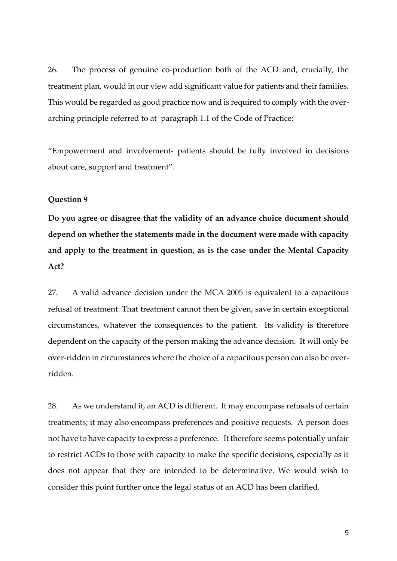26. The process of genuine co-production both of the ACD and, crucially, the treatment plan, would in our view add significant value for patients and their families. This would be regarded as good practice now and is required to comply with the overarching principle referred to at paragraph 1.1 of the Code of Practice:

"Empowerment and involvement- patients should be fully involved in decisions about care, support and treatment".

#### **Question 9**

**Do you agree or disagree that the validity of an advance choice document should depend on whether the statements made in the document were made with capacity and apply to the treatment in question, as is the case under the Mental Capacity Act?**

27. A valid advance decision under the MCA 2005 is equivalent to a capacitous refusal of treatment. That treatment cannot then be given, save in certain exceptional circumstances, whatever the consequences to the patient. Its validity is therefore dependent on the capacity of the person making the advance decision. It will only be over-ridden in circumstances where the choice of a capacitous person can also be overridden.

28. As we understand it, an ACD is different. It may encompass refusals of certain treatments; it may also encompass preferences and positive requests. A person does not have to have capacity to express a preference. It therefore seems potentially unfair to restrict ACDs to those with capacity to make the specific decisions, especially as it does not appear that they are intended to be determinative. We would wish to consider this point further once the legal status of an ACD has been clarified.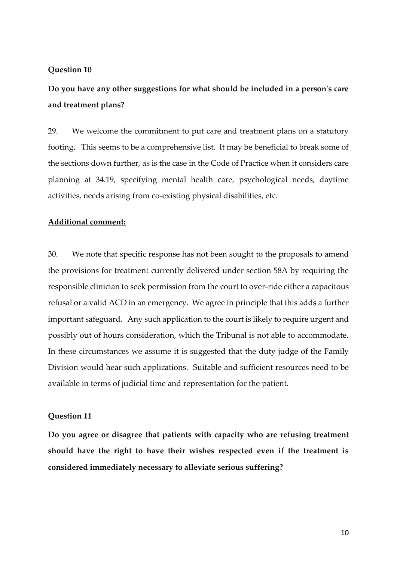### **Question 10**

**Do you have any other suggestions for what should be included in a person's care and treatment plans?**

29. We welcome the commitment to put care and treatment plans on a statutory footing. This seems to be a comprehensive list. It may be beneficial to break some of the sections down further, as is the case in the Code of Practice when it considers care planning at 34.19, specifying mental health care, psychological needs, daytime activities, needs arising from co-existing physical disabilities, etc.

### **Additional comment:**

30. We note that specific response has not been sought to the proposals to amend the provisions for treatment currently delivered under section 58A by requiring the responsible clinician to seek permission from the court to over-ride either a capacitous refusal or a valid ACD in an emergency. We agree in principle that this adds a further important safeguard. Any such application to the court is likely to require urgent and possibly out of hours consideration, which the Tribunal is not able to accommodate. In these circumstances we assume it is suggested that the duty judge of the Family Division would hear such applications. Suitable and sufficient resources need to be available in terms of judicial time and representation for the patient.

### **Question 11**

**Do you agree or disagree that patients with capacity who are refusing treatment should have the right to have their wishes respected even if the treatment is considered immediately necessary to alleviate serious suffering?**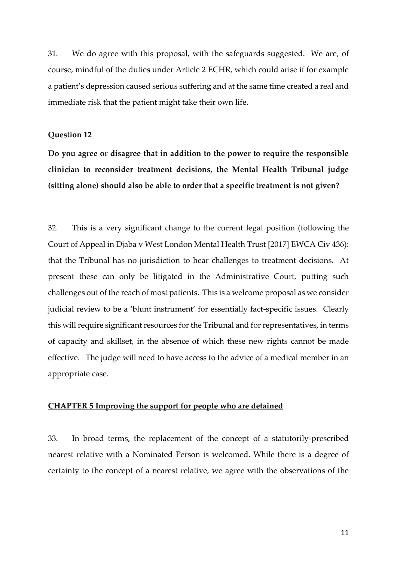31. We do agree with this proposal, with the safeguards suggested. We are, of course, mindful of the duties under Article 2 ECHR, which could arise if for example a patient's depression caused serious suffering and at the same time created a real and immediate risk that the patient might take their own life.

#### **Question 12**

**Do you agree or disagree that in addition to the power to require the responsible clinician to reconsider treatment decisions, the Mental Health Tribunal judge (sitting alone) should also be able to order that a specific treatment is not given?**

32. This is a very significant change to the current legal position (following the Court of Appeal in Djaba v West London Mental Health Trust [2017] EWCA Civ 436): that the Tribunal has no jurisdiction to hear challenges to treatment decisions. At present these can only be litigated in the Administrative Court, putting such challenges out of the reach of most patients. This is a welcome proposal as we consider judicial review to be a 'blunt instrument' for essentially fact-specific issues. Clearly this will require significant resources for the Tribunal and for representatives, in terms of capacity and skillset, in the absence of which these new rights cannot be made effective. The judge will need to have access to the advice of a medical member in an appropriate case.

## **CHAPTER 5 Improving the support for people who are detained**

33. In broad terms, the replacement of the concept of a statutorily-prescribed nearest relative with a Nominated Person is welcomed. While there is a degree of certainty to the concept of a nearest relative, we agree with the observations of the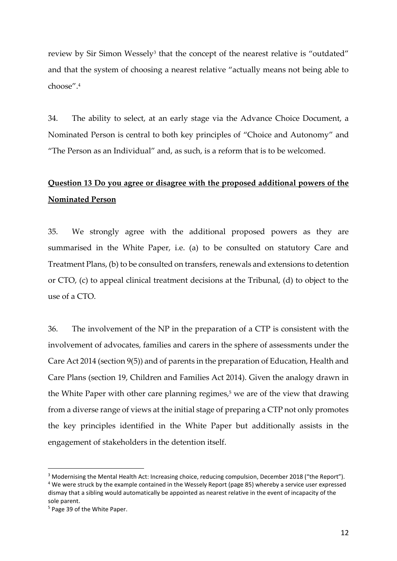review by Sir Simon Wessely<sup>3</sup> that the concept of the nearest relative is "outdated" and that the system of choosing a nearest relative "actually means not being able to choose".<sup>4</sup>

34. The ability to select, at an early stage via the Advance Choice Document, a Nominated Person is central to both key principles of "Choice and Autonomy" and "The Person as an Individual" and, as such, is a reform that is to be welcomed.

# **Question 13 Do you agree or disagree with the proposed additional powers of the Nominated Person**

35. We strongly agree with the additional proposed powers as they are summarised in the White Paper, i.e. (a) to be consulted on statutory Care and Treatment Plans, (b) to be consulted on transfers, renewals and extensions to detention or CTO, (c) to appeal clinical treatment decisions at the Tribunal, (d) to object to the use of a CTO.

36. The involvement of the NP in the preparation of a CTP is consistent with the involvement of advocates, families and carers in the sphere of assessments under the Care Act 2014 (section 9(5)) and of parents in the preparation of Education, Health and Care Plans (section 19, Children and Families Act 2014). Given the analogy drawn in the White Paper with other care planning regimes, $5$  we are of the view that drawing from a diverse range of views at the initial stage of preparing a CTP not only promotes the key principles identified in the White Paper but additionally assists in the engagement of stakeholders in the detention itself.

<sup>&</sup>lt;sup>3</sup> Modernising the Mental Health Act: Increasing choice, reducing compulsion, December 2018 ("the Report").

<sup>&</sup>lt;sup>4</sup> We were struck by the example contained in the Wessely Report (page 85) whereby a service user expressed dismay that a sibling would automatically be appointed as nearest relative in the event of incapacity of the sole parent.

<sup>5</sup> Page 39 of the White Paper.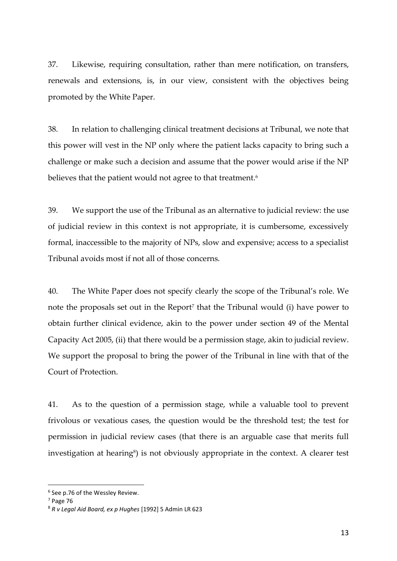37. Likewise, requiring consultation, rather than mere notification, on transfers, renewals and extensions, is, in our view, consistent with the objectives being promoted by the White Paper.

38. In relation to challenging clinical treatment decisions at Tribunal, we note that this power will vest in the NP only where the patient lacks capacity to bring such a challenge or make such a decision and assume that the power would arise if the NP believes that the patient would not agree to that treatment.<sup>6</sup>

39. We support the use of the Tribunal as an alternative to judicial review: the use of judicial review in this context is not appropriate, it is cumbersome, excessively formal, inaccessible to the majority of NPs, slow and expensive; access to a specialist Tribunal avoids most if not all of those concerns.

40. The White Paper does not specify clearly the scope of the Tribunal's role. We note the proposals set out in the Report<sup>7</sup> that the Tribunal would (i) have power to obtain further clinical evidence, akin to the power under section 49 of the Mental Capacity Act 2005, (ii) that there would be a permission stage, akin to judicial review. We support the proposal to bring the power of the Tribunal in line with that of the Court of Protection.

41. As to the question of a permission stage, while a valuable tool to prevent frivolous or vexatious cases, the question would be the threshold test; the test for permission in judicial review cases (that there is an arguable case that merits full investigation at hearing<sup>8</sup>) is not obviously appropriate in the context. A clearer test

<sup>6</sup> See p.76 of the Wessley Review.

<sup>7</sup> Page 76

<sup>8</sup> *R v Legal Aid Board, ex p Hughes* [1992] 5 Admin LR 623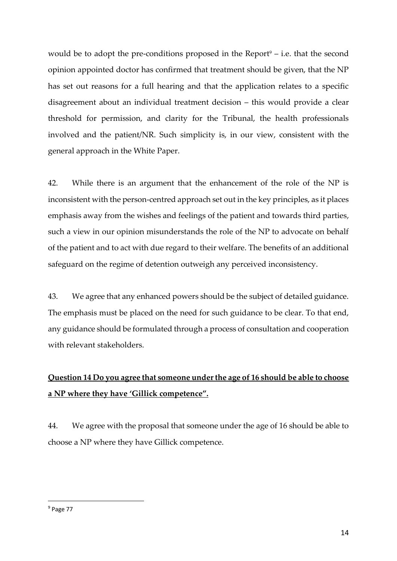would be to adopt the pre-conditions proposed in the Report $9 - i.e.$  that the second opinion appointed doctor has confirmed that treatment should be given, that the NP has set out reasons for a full hearing and that the application relates to a specific disagreement about an individual treatment decision – this would provide a clear threshold for permission, and clarity for the Tribunal, the health professionals involved and the patient/NR. Such simplicity is, in our view, consistent with the general approach in the White Paper.

42. While there is an argument that the enhancement of the role of the NP is inconsistent with the person-centred approach set out in the key principles, as it places emphasis away from the wishes and feelings of the patient and towards third parties, such a view in our opinion misunderstands the role of the NP to advocate on behalf of the patient and to act with due regard to their welfare. The benefits of an additional safeguard on the regime of detention outweigh any perceived inconsistency.

43. We agree that any enhanced powers should be the subject of detailed guidance. The emphasis must be placed on the need for such guidance to be clear. To that end, any guidance should be formulated through a process of consultation and cooperation with relevant stakeholders.

# **Question 14 Do you agree that someone under the age of 16 should be able to choose a NP where they have 'Gillick competence".**

44. We agree with the proposal that someone under the age of 16 should be able to choose a NP where they have Gillick competence.

<sup>9</sup> Page 77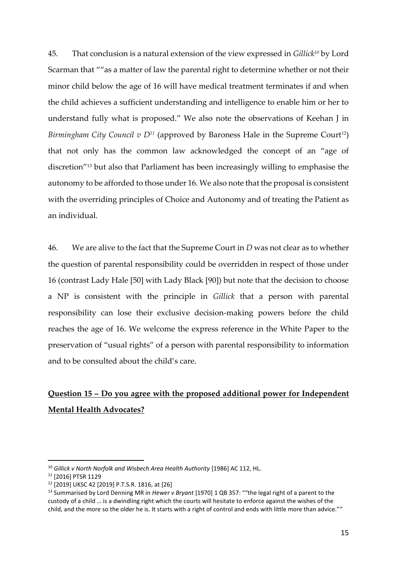45. That conclusion is a natural extension of the view expressed in *Gillick<sup>10</sup>* by Lord Scarman that ""as a matter of law the parental right to determine whether or not their minor child below the age of 16 will have medical treatment terminates if and when the child achieves a sufficient understanding and intelligence to enable him or her to understand fully what is proposed." We also note the observations of Keehan J in *Birmingham City Council v*  $D^{11}$  *(approved by Baroness Hale in the Supreme Court<sup>12</sup>)* that not only has the common law acknowledged the concept of an "age of discretion"<sup>13</sup> but also that Parliament has been increasingly willing to emphasise the autonomy to be afforded to those under 16. We also note that the proposal is consistent with the overriding principles of Choice and Autonomy and of treating the Patient as an individual.

46. We are alive to the fact that the Supreme Court in *D* was not clear as to whether the question of parental responsibility could be overridden in respect of those under 16 (contrast Lady Hale [50] with Lady Black [90]) but note that the decision to choose a NP is consistent with the principle in *Gillick* that a person with parental responsibility can lose their exclusive decision-making powers before the child reaches the age of 16. We welcome the express reference in the White Paper to the preservation of "usual rights" of a person with parental responsibility to information and to be consulted about the child's care.

# **Question 15 – Do you agree with the proposed additional power for Independent Mental Health Advocates?**

<sup>&</sup>lt;sup>10</sup> Gillick v North Norfolk and Wisbech Area Health Authority [1986] AC 112, HL.

<sup>11</sup> [2016] PTSR 1129

<sup>12</sup> [2019] UKSC 42 [2019] P.T.S.R. 1816, at [26]

<sup>13</sup> Summarised by Lord Denning MR in *Hewer v Bryant* [1970] 1 QB 357: ""the legal right of a parent to the custody of a child … is a dwindling right which the courts will hesitate to enforce against the wishes of the child, and the more so the older he is. It starts with a right of control and ends with little more than advice.""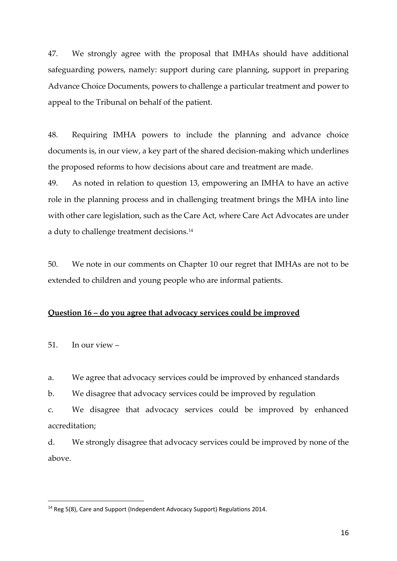47. We strongly agree with the proposal that IMHAs should have additional safeguarding powers, namely: support during care planning, support in preparing Advance Choice Documents, powers to challenge a particular treatment and power to appeal to the Tribunal on behalf of the patient.

48. Requiring IMHA powers to include the planning and advance choice documents is, in our view, a key part of the shared decision-making which underlines the proposed reforms to how decisions about care and treatment are made.

49. As noted in relation to question 13, empowering an IMHA to have an active role in the planning process and in challenging treatment brings the MHA into line with other care legislation, such as the Care Act, where Care Act Advocates are under a duty to challenge treatment decisions.<sup>14</sup>

50. We note in our comments on Chapter 10 our regret that IMHAs are not to be extended to children and young people who are informal patients.

## **Question 16 – do you agree that advocacy services could be improved**

51. In our view –

a. We agree that advocacy services could be improved by enhanced standards

b. We disagree that advocacy services could be improved by regulation

c. We disagree that advocacy services could be improved by enhanced accreditation;

d. We strongly disagree that advocacy services could be improved by none of the above.

<sup>&</sup>lt;sup>14</sup> Reg 5(8), Care and Support (Independent Advocacy Support) Regulations 2014.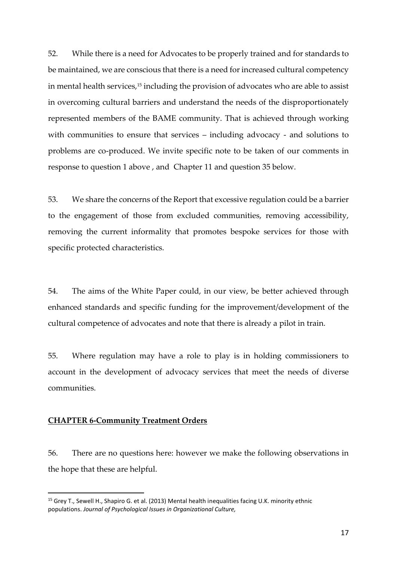52. While there is a need for Advocates to be properly trained and for standards to be maintained, we are conscious that there is a need for increased cultural competency in mental health services,<sup>15</sup> including the provision of advocates who are able to assist in overcoming cultural barriers and understand the needs of the disproportionately represented members of the BAME community. That is achieved through working with communities to ensure that services – including advocacy - and solutions to problems are co-produced. We invite specific note to be taken of our comments in response to question 1 above , and Chapter 11 and question 35 below.

53. We share the concerns of the Report that excessive regulation could be a barrier to the engagement of those from excluded communities, removing accessibility, removing the current informality that promotes bespoke services for those with specific protected characteristics.

54. The aims of the White Paper could, in our view, be better achieved through enhanced standards and specific funding for the improvement/development of the cultural competence of advocates and note that there is already a pilot in train.

55. Where regulation may have a role to play is in holding commissioners to account in the development of advocacy services that meet the needs of diverse communities.

#### **CHAPTER 6-Community Treatment Orders**

56. There are no questions here: however we make the following observations in the hope that these are helpful.

<sup>&</sup>lt;sup>15</sup> Grey T., Sewell H., Shapiro G. et al. (2013) Mental health inequalities facing U.K. minority ethnic populations. *Journal of Psychological Issues in Organizational Culture,*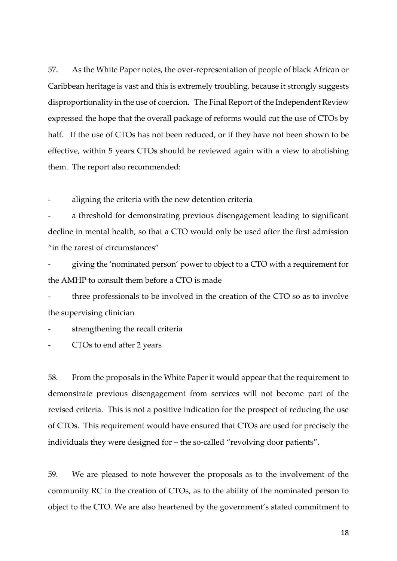57. As the White Paper notes, the over-representation of people of black African or Caribbean heritage is vast and this is extremely troubling, because it strongly suggests disproportionality in the use of coercion. The Final Report of the Independent Review expressed the hope that the overall package of reforms would cut the use of CTOs by half. If the use of CTOs has not been reduced, or if they have not been shown to be effective, within 5 years CTOs should be reviewed again with a view to abolishing them. The report also recommended:

aligning the criteria with the new detention criteria

a threshold for demonstrating previous disengagement leading to significant decline in mental health, so that a CTO would only be used after the first admission "in the rarest of circumstances"

- giving the 'nominated person' power to object to a CTO with a requirement for the AMHP to consult them before a CTO is made

three professionals to be involved in the creation of the CTO so as to involve the supervising clinician

strengthening the recall criteria

- CTOs to end after 2 years

58. From the proposals in the White Paper it would appear that the requirement to demonstrate previous disengagement from services will not become part of the revised criteria. This is not a positive indication for the prospect of reducing the use of CTOs. This requirement would have ensured that CTOs are used for precisely the individuals they were designed for – the so-called "revolving door patients".

59. We are pleased to note however the proposals as to the involvement of the community RC in the creation of CTOs, as to the ability of the nominated person to object to the CTO. We are also heartened by the government's stated commitment to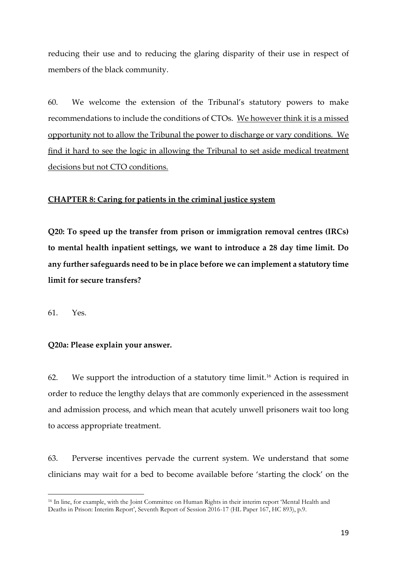reducing their use and to reducing the glaring disparity of their use in respect of members of the black community.

60. We welcome the extension of the Tribunal's statutory powers to make recommendations to include the conditions of CTOs. We however think it is a missed opportunity not to allow the Tribunal the power to discharge or vary conditions. We find it hard to see the logic in allowing the Tribunal to set aside medical treatment decisions but not CTO conditions.

## **CHAPTER 8: Caring for patients in the criminal justice system**

**Q20: To speed up the transfer from prison or immigration removal centres (IRCs) to mental health inpatient settings, we want to introduce a 28 day time limit. Do any further safeguards need to be in place before we can implement a statutory time limit for secure transfers?**

61. Yes.

## **Q20a: Please explain your answer.**

62. We support the introduction of a statutory time limit.<sup>16</sup> Action is required in order to reduce the lengthy delays that are commonly experienced in the assessment and admission process, and which mean that acutely unwell prisoners wait too long to access appropriate treatment.

63. Perverse incentives pervade the current system. We understand that some clinicians may wait for a bed to become available before 'starting the clock' on the

<sup>16</sup> In line, for example, with the Joint Committee on Human Rights in their interim report 'Mental Health and Deaths in Prison: Interim Report', Seventh Report of Session 2016-17 (HL Paper 167, HC 893), p.9.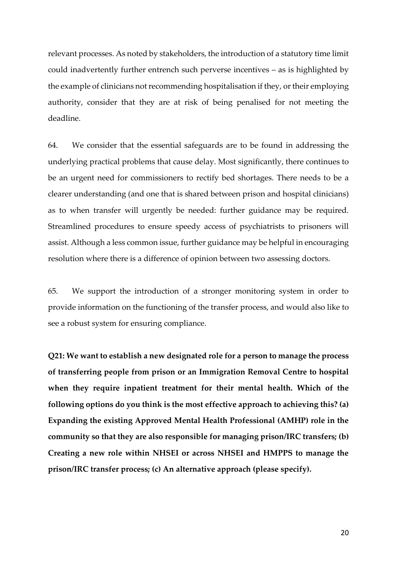relevant processes. As noted by stakeholders, the introduction of a statutory time limit could inadvertently further entrench such perverse incentives – as is highlighted by the example of clinicians not recommending hospitalisation if they, or their employing authority, consider that they are at risk of being penalised for not meeting the deadline.

64. We consider that the essential safeguards are to be found in addressing the underlying practical problems that cause delay. Most significantly, there continues to be an urgent need for commissioners to rectify bed shortages. There needs to be a clearer understanding (and one that is shared between prison and hospital clinicians) as to when transfer will urgently be needed: further guidance may be required. Streamlined procedures to ensure speedy access of psychiatrists to prisoners will assist. Although a less common issue, further guidance may be helpful in encouraging resolution where there is a difference of opinion between two assessing doctors.

65. We support the introduction of a stronger monitoring system in order to provide information on the functioning of the transfer process, and would also like to see a robust system for ensuring compliance.

**Q21: We want to establish a new designated role for a person to manage the process of transferring people from prison or an Immigration Removal Centre to hospital when they require inpatient treatment for their mental health. Which of the following options do you think is the most effective approach to achieving this? (a) Expanding the existing Approved Mental Health Professional (AMHP) role in the community so that they are also responsible for managing prison/IRC transfers; (b) Creating a new role within NHSEI or across NHSEI and HMPPS to manage the prison/IRC transfer process; (c) An alternative approach (please specify).**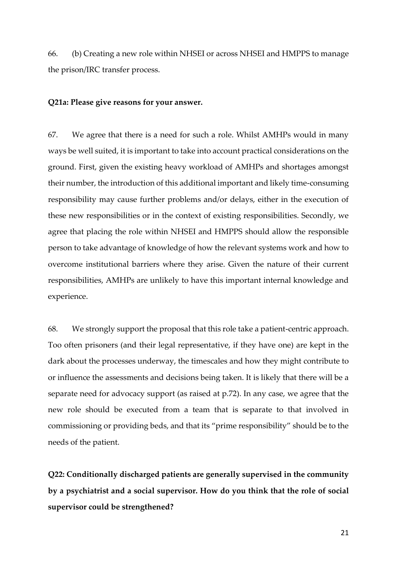66. (b) Creating a new role within NHSEI or across NHSEI and HMPPS to manage the prison/IRC transfer process.

#### **Q21a: Please give reasons for your answer.**

67. We agree that there is a need for such a role. Whilst AMHPs would in many ways be well suited, it is important to take into account practical considerations on the ground. First, given the existing heavy workload of AMHPs and shortages amongst their number, the introduction of this additional important and likely time-consuming responsibility may cause further problems and/or delays, either in the execution of these new responsibilities or in the context of existing responsibilities. Secondly, we agree that placing the role within NHSEI and HMPPS should allow the responsible person to take advantage of knowledge of how the relevant systems work and how to overcome institutional barriers where they arise. Given the nature of their current responsibilities, AMHPs are unlikely to have this important internal knowledge and experience.

68. We strongly support the proposal that this role take a patient-centric approach. Too often prisoners (and their legal representative, if they have one) are kept in the dark about the processes underway, the timescales and how they might contribute to or influence the assessments and decisions being taken. It is likely that there will be a separate need for advocacy support (as raised at p.72). In any case, we agree that the new role should be executed from a team that is separate to that involved in commissioning or providing beds, and that its "prime responsibility" should be to the needs of the patient.

**Q22: Conditionally discharged patients are generally supervised in the community by a psychiatrist and a social supervisor. How do you think that the role of social supervisor could be strengthened?**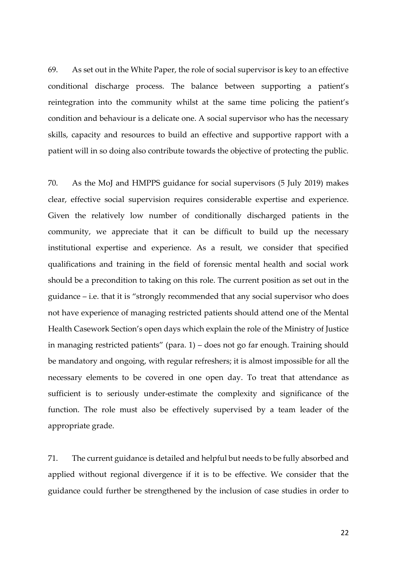69. As set out in the White Paper, the role of social supervisor is key to an effective conditional discharge process. The balance between supporting a patient's reintegration into the community whilst at the same time policing the patient's condition and behaviour is a delicate one. A social supervisor who has the necessary skills, capacity and resources to build an effective and supportive rapport with a patient will in so doing also contribute towards the objective of protecting the public.

70. As the MoJ and HMPPS guidance for social supervisors (5 July 2019) makes clear, effective social supervision requires considerable expertise and experience. Given the relatively low number of conditionally discharged patients in the community, we appreciate that it can be difficult to build up the necessary institutional expertise and experience. As a result, we consider that specified qualifications and training in the field of forensic mental health and social work should be a precondition to taking on this role. The current position as set out in the guidance – i.e. that it is "strongly recommended that any social supervisor who does not have experience of managing restricted patients should attend one of the Mental Health Casework Section's open days which explain the role of the Ministry of Justice in managing restricted patients" (para. 1) – does not go far enough. Training should be mandatory and ongoing, with regular refreshers; it is almost impossible for all the necessary elements to be covered in one open day. To treat that attendance as sufficient is to seriously under-estimate the complexity and significance of the function. The role must also be effectively supervised by a team leader of the appropriate grade.

71. The current guidance is detailed and helpful but needs to be fully absorbed and applied without regional divergence if it is to be effective. We consider that the guidance could further be strengthened by the inclusion of case studies in order to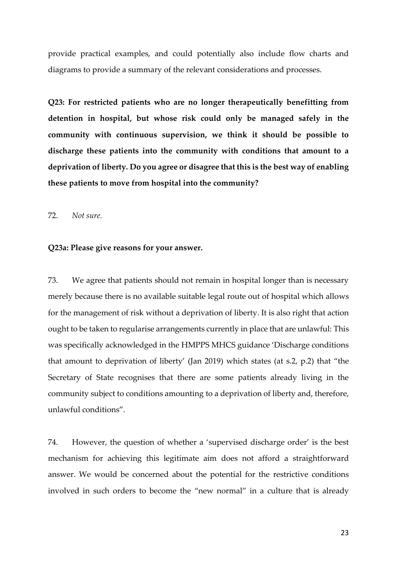provide practical examples, and could potentially also include flow charts and diagrams to provide a summary of the relevant considerations and processes.

**Q23: For restricted patients who are no longer therapeutically benefitting from detention in hospital, but whose risk could only be managed safely in the community with continuous supervision, we think it should be possible to discharge these patients into the community with conditions that amount to a deprivation of liberty. Do you agree or disagree that this is the best way of enabling these patients to move from hospital into the community?**

72. *Not sure.*

#### **Q23a: Please give reasons for your answer.**

73. We agree that patients should not remain in hospital longer than is necessary merely because there is no available suitable legal route out of hospital which allows for the management of risk without a deprivation of liberty. It is also right that action ought to be taken to regularise arrangements currently in place that are unlawful: This was specifically acknowledged in the HMPPS MHCS guidance 'Discharge conditions that amount to deprivation of liberty' (Jan 2019) which states (at s.2, p.2) that "the Secretary of State recognises that there are some patients already living in the community subject to conditions amounting to a deprivation of liberty and, therefore, unlawful conditions".

74. However, the question of whether a 'supervised discharge order' is the best mechanism for achieving this legitimate aim does not afford a straightforward answer. We would be concerned about the potential for the restrictive conditions involved in such orders to become the "new normal" in a culture that is already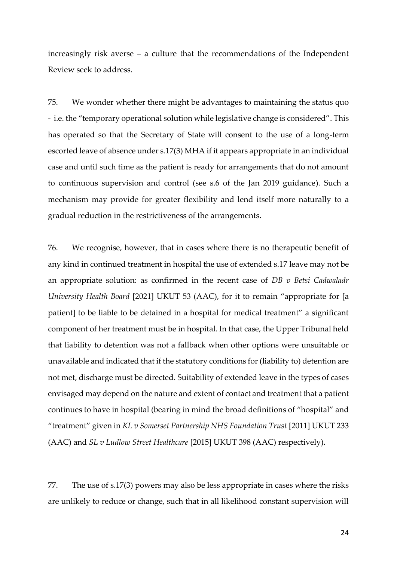increasingly risk averse – a culture that the recommendations of the Independent Review seek to address.

75. We wonder whether there might be advantages to maintaining the status quo - i.e. the "temporary operational solution while legislative change is considered". This has operated so that the Secretary of State will consent to the use of a long-term escorted leave of absence under s.17(3) MHA if it appears appropriate in an individual case and until such time as the patient is ready for arrangements that do not amount to continuous supervision and control (see s.6 of the Jan 2019 guidance). Such a mechanism may provide for greater flexibility and lend itself more naturally to a gradual reduction in the restrictiveness of the arrangements.

76. We recognise, however, that in cases where there is no therapeutic benefit of any kind in continued treatment in hospital the use of extended s.17 leave may not be an appropriate solution: as confirmed in the recent case of *DB v Betsi Cadwaladr University Health Board* [2021] UKUT 53 (AAC), for it to remain "appropriate for [a patient] to be liable to be detained in a hospital for medical treatment" a significant component of her treatment must be in hospital. In that case, the Upper Tribunal held that liability to detention was not a fallback when other options were unsuitable or unavailable and indicated that if the statutory conditions for (liability to) detention are not met, discharge must be directed. Suitability of extended leave in the types of cases envisaged may depend on the nature and extent of contact and treatment that a patient continues to have in hospital (bearing in mind the broad definitions of "hospital" and "treatment" given in *KL v Somerset Partnership NHS Foundation Trust* [2011] UKUT 233 (AAC) and *SL v Ludlow Street Healthcare* [2015] UKUT 398 (AAC) respectively).

77. The use of s.17(3) powers may also be less appropriate in cases where the risks are unlikely to reduce or change, such that in all likelihood constant supervision will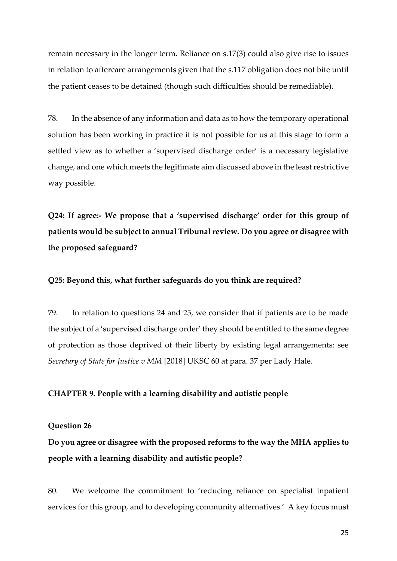remain necessary in the longer term. Reliance on s.17(3) could also give rise to issues in relation to aftercare arrangements given that the s.117 obligation does not bite until the patient ceases to be detained (though such difficulties should be remediable).

78. In the absence of any information and data as to how the temporary operational solution has been working in practice it is not possible for us at this stage to form a settled view as to whether a 'supervised discharge order' is a necessary legislative change, and one which meets the legitimate aim discussed above in the least restrictive way possible.

**Q24: If agree:- We propose that a 'supervised discharge' order for this group of patients would be subject to annual Tribunal review. Do you agree or disagree with the proposed safeguard?**

## **Q25: Beyond this, what further safeguards do you think are required?**

79. In relation to questions 24 and 25, we consider that if patients are to be made the subject of a 'supervised discharge order' they should be entitled to the same degree of protection as those deprived of their liberty by existing legal arrangements: see *Secretary of State for Justice v MM* [2018] UKSC 60 at para. 37 per Lady Hale.

#### **CHAPTER 9. People with a learning disability and autistic people**

#### **Question 26**

**Do you agree or disagree with the proposed reforms to the way the MHA applies to people with a learning disability and autistic people?** 

80. We welcome the commitment to 'reducing reliance on specialist inpatient services for this group, and to developing community alternatives.' A key focus must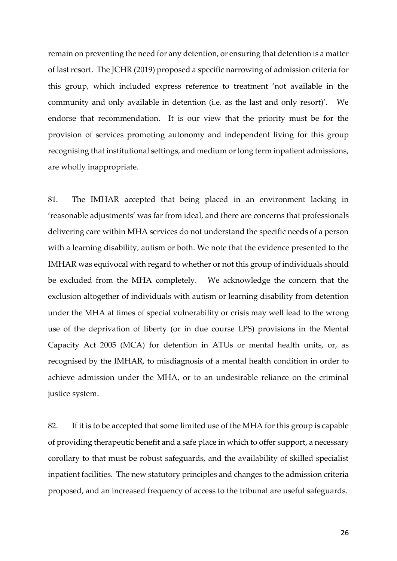remain on preventing the need for any detention, or ensuring that detention is a matter of last resort. The JCHR (2019) proposed a specific narrowing of admission criteria for this group, which included express reference to treatment 'not available in the community and only available in detention (i.e. as the last and only resort)'. We endorse that recommendation. It is our view that the priority must be for the provision of services promoting autonomy and independent living for this group recognising that institutional settings, and medium or long term inpatient admissions, are wholly inappropriate.

81. The IMHAR accepted that being placed in an environment lacking in 'reasonable adjustments' was far from ideal, and there are concerns that professionals delivering care within MHA services do not understand the specific needs of a person with a learning disability, autism or both. We note that the evidence presented to the IMHAR was equivocal with regard to whether or not this group of individuals should be excluded from the MHA completely. We acknowledge the concern that the exclusion altogether of individuals with autism or learning disability from detention under the MHA at times of special vulnerability or crisis may well lead to the wrong use of the deprivation of liberty (or in due course LPS) provisions in the Mental Capacity Act 2005 (MCA) for detention in ATUs or mental health units, or, as recognised by the IMHAR, to misdiagnosis of a mental health condition in order to achieve admission under the MHA, or to an undesirable reliance on the criminal justice system.

82. If it is to be accepted that some limited use of the MHA for this group is capable of providing therapeutic benefit and a safe place in which to offer support, a necessary corollary to that must be robust safeguards, and the availability of skilled specialist inpatient facilities. The new statutory principles and changes to the admission criteria proposed, and an increased frequency of access to the tribunal are useful safeguards.

26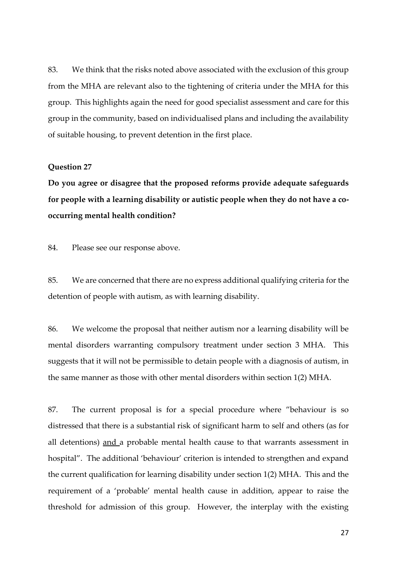83. We think that the risks noted above associated with the exclusion of this group from the MHA are relevant also to the tightening of criteria under the MHA for this group. This highlights again the need for good specialist assessment and care for this group in the community, based on individualised plans and including the availability of suitable housing, to prevent detention in the first place.

### **Question 27**

**Do you agree or disagree that the proposed reforms provide adequate safeguards for people with a learning disability or autistic people when they do not have a cooccurring mental health condition?** 

84. Please see our response above.

85. We are concerned that there are no express additional qualifying criteria for the detention of people with autism, as with learning disability.

86. We welcome the proposal that neither autism nor a learning disability will be mental disorders warranting compulsory treatment under section 3 MHA. This suggests that it will not be permissible to detain people with a diagnosis of autism, in the same manner as those with other mental disorders within section 1(2) MHA.

87. The current proposal is for a special procedure where "behaviour is so distressed that there is a substantial risk of significant harm to self and others (as for all detentions) and a probable mental health cause to that warrants assessment in hospital". The additional 'behaviour' criterion is intended to strengthen and expand the current qualification for learning disability under section 1(2) MHA. This and the requirement of a 'probable' mental health cause in addition, appear to raise the threshold for admission of this group. However, the interplay with the existing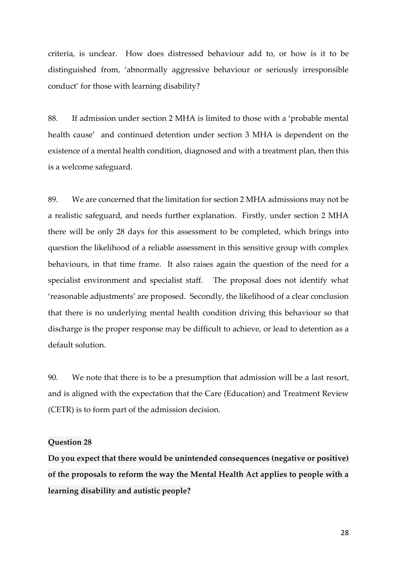criteria, is unclear. How does distressed behaviour add to, or how is it to be distinguished from, 'abnormally aggressive behaviour or seriously irresponsible conduct' for those with learning disability?

88. If admission under section 2 MHA is limited to those with a 'probable mental health cause' and continued detention under section 3 MHA is dependent on the existence of a mental health condition, diagnosed and with a treatment plan, then this is a welcome safeguard.

89. We are concerned that the limitation for section 2 MHA admissions may not be a realistic safeguard, and needs further explanation. Firstly, under section 2 MHA there will be only 28 days for this assessment to be completed, which brings into question the likelihood of a reliable assessment in this sensitive group with complex behaviours, in that time frame. It also raises again the question of the need for a specialist environment and specialist staff. The proposal does not identify what 'reasonable adjustments' are proposed. Secondly, the likelihood of a clear conclusion that there is no underlying mental health condition driving this behaviour so that discharge is the proper response may be difficult to achieve, or lead to detention as a default solution.

90. We note that there is to be a presumption that admission will be a last resort, and is aligned with the expectation that the Care (Education) and Treatment Review (CETR) is to form part of the admission decision.

#### **Question 28**

**Do you expect that there would be unintended consequences (negative or positive) of the proposals to reform the way the Mental Health Act applies to people with a learning disability and autistic people?**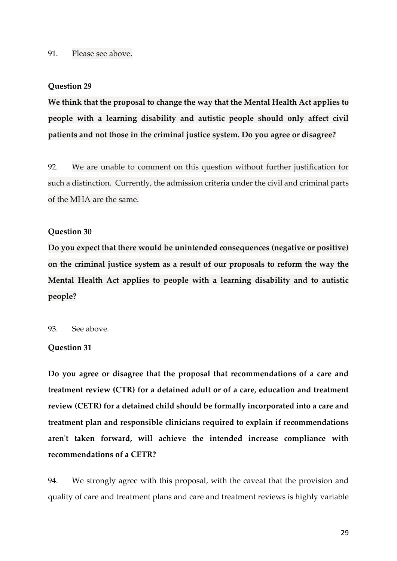#### 91. Please see above.

#### **Question 29**

**We think that the proposal to change the way that the Mental Health Act applies to people with a learning disability and autistic people should only affect civil patients and not those in the criminal justice system. Do you agree or disagree?** 

92. We are unable to comment on this question without further justification for such a distinction. Currently, the admission criteria under the civil and criminal parts of the MHA are the same.

### **Question 30**

**Do you expect that there would be unintended consequences (negative or positive) on the criminal justice system as a result of our proposals to reform the way the Mental Health Act applies to people with a learning disability and to autistic people?** 

#### 93. See above.

#### **Question 31**

**Do you agree or disagree that the proposal that recommendations of a care and treatment review (CTR) for a detained adult or of a care, education and treatment review (CETR) for a detained child should be formally incorporated into a care and treatment plan and responsible clinicians required to explain if recommendations aren't taken forward, will achieve the intended increase compliance with recommendations of a CETR?** 

94. We strongly agree with this proposal, with the caveat that the provision and quality of care and treatment plans and care and treatment reviews is highly variable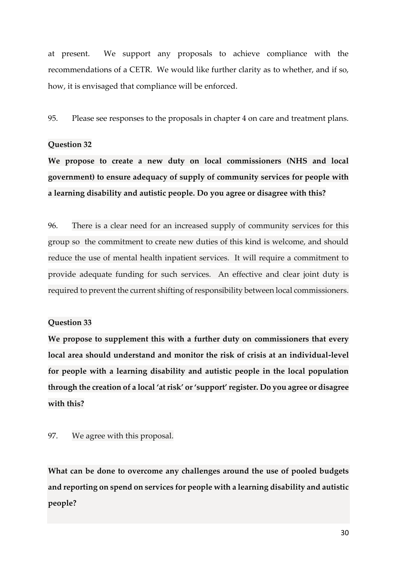at present. We support any proposals to achieve compliance with the recommendations of a CETR. We would like further clarity as to whether, and if so, how, it is envisaged that compliance will be enforced.

95. Please see responses to the proposals in chapter 4 on care and treatment plans.

## **Question 32**

**We propose to create a new duty on local commissioners (NHS and local government) to ensure adequacy of supply of community services for people with a learning disability and autistic people. Do you agree or disagree with this?** 

96. There is a clear need for an increased supply of community services for this group so the commitment to create new duties of this kind is welcome, and should reduce the use of mental health inpatient services. It will require a commitment to provide adequate funding for such services. An effective and clear joint duty is required to prevent the current shifting of responsibility between local commissioners.

## **Question 33**

**We propose to supplement this with a further duty on commissioners that every local area should understand and monitor the risk of crisis at an individual-level for people with a learning disability and autistic people in the local population through the creation of a local 'at risk' or 'support' register. Do you agree or disagree with this?** 

97. We agree with this proposal.

**What can be done to overcome any challenges around the use of pooled budgets and reporting on spend on services for people with a learning disability and autistic people?**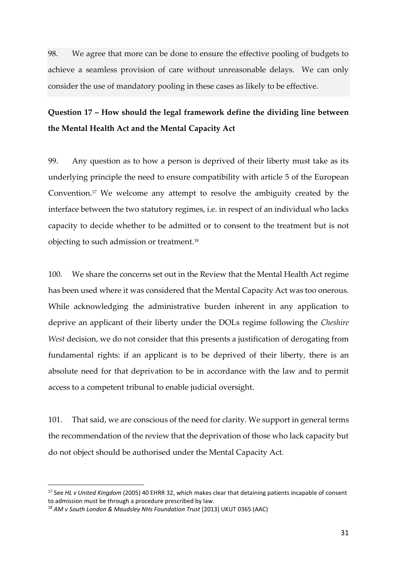98. We agree that more can be done to ensure the effective pooling of budgets to achieve a seamless provision of care without unreasonable delays. We can only consider the use of mandatory pooling in these cases as likely to be effective.

# **Question 17 – How should the legal framework define the dividing line between the Mental Health Act and the Mental Capacity Act**

99. Any question as to how a person is deprived of their liberty must take as its underlying principle the need to ensure compatibility with article 5 of the European Convention.<sup>17</sup> We welcome any attempt to resolve the ambiguity created by the interface between the two statutory regimes, i.e. in respect of an individual who lacks capacity to decide whether to be admitted or to consent to the treatment but is not objecting to such admission or treatment.<sup>18</sup>

100. We share the concerns set out in the Review that the Mental Health Act regime has been used where it was considered that the Mental Capacity Act was too onerous. While acknowledging the administrative burden inherent in any application to deprive an applicant of their liberty under the DOLs regime following the *Cheshire West* decision, we do not consider that this presents a justification of derogating from fundamental rights: if an applicant is to be deprived of their liberty, there is an absolute need for that deprivation to be in accordance with the law and to permit access to a competent tribunal to enable judicial oversight.

101. That said, we are conscious of the need for clarity. We support in general terms the recommendation of the review that the deprivation of those who lack capacity but do not object should be authorised under the Mental Capacity Act.

<sup>17</sup> See *HL v United Kingdom* (2005) 40 EHRR 32, which makes clear that detaining patients incapable of consent to admission must be through a procedure prescribed by law.

<sup>&</sup>lt;sup>18</sup> AM *v* South London & Maudsley NHs Foundation Trust [2013] UKUT 0365 (AAC)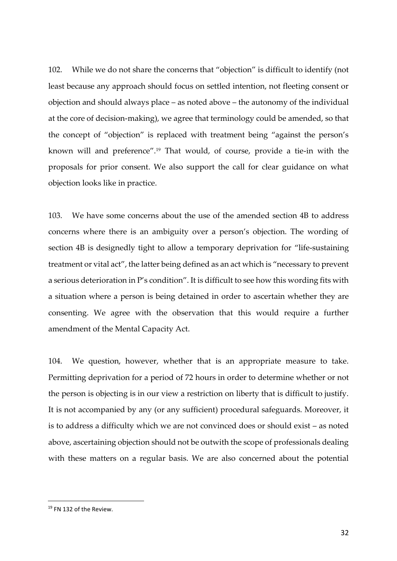102. While we do not share the concerns that "objection" is difficult to identify (not least because any approach should focus on settled intention, not fleeting consent or objection and should always place – as noted above – the autonomy of the individual at the core of decision-making), we agree that terminology could be amended, so that the concept of "objection" is replaced with treatment being "against the person's known will and preference".<sup>19</sup> That would, of course, provide a tie-in with the proposals for prior consent. We also support the call for clear guidance on what objection looks like in practice.

103. We have some concerns about the use of the amended section 4B to address concerns where there is an ambiguity over a person's objection. The wording of section 4B is designedly tight to allow a temporary deprivation for "life-sustaining treatment or vital act", the latter being defined as an act which is "necessary to prevent a serious deterioration in P's condition". It is difficult to see how this wording fits with a situation where a person is being detained in order to ascertain whether they are consenting. We agree with the observation that this would require a further amendment of the Mental Capacity Act.

104. We question, however, whether that is an appropriate measure to take. Permitting deprivation for a period of 72 hours in order to determine whether or not the person is objecting is in our view a restriction on liberty that is difficult to justify. It is not accompanied by any (or any sufficient) procedural safeguards. Moreover, it is to address a difficulty which we are not convinced does or should exist – as noted above, ascertaining objection should not be outwith the scope of professionals dealing with these matters on a regular basis. We are also concerned about the potential

<sup>&</sup>lt;sup>19</sup> FN 132 of the Review.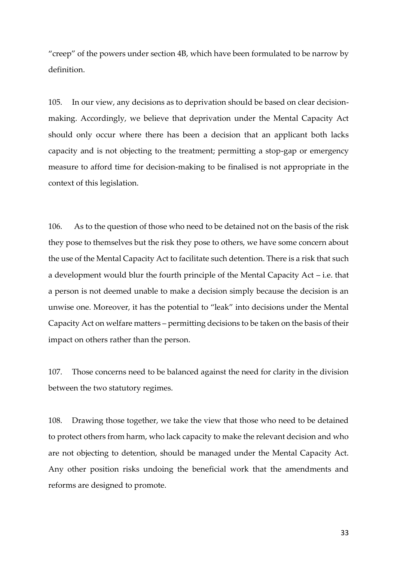"creep" of the powers under section 4B, which have been formulated to be narrow by definition.

105. In our view, any decisions as to deprivation should be based on clear decisionmaking. Accordingly, we believe that deprivation under the Mental Capacity Act should only occur where there has been a decision that an applicant both lacks capacity and is not objecting to the treatment; permitting a stop-gap or emergency measure to afford time for decision-making to be finalised is not appropriate in the context of this legislation.

106. As to the question of those who need to be detained not on the basis of the risk they pose to themselves but the risk they pose to others, we have some concern about the use of the Mental Capacity Act to facilitate such detention. There is a risk that such a development would blur the fourth principle of the Mental Capacity Act – i.e. that a person is not deemed unable to make a decision simply because the decision is an unwise one. Moreover, it has the potential to "leak" into decisions under the Mental Capacity Act on welfare matters – permitting decisions to be taken on the basis of their impact on others rather than the person.

107. Those concerns need to be balanced against the need for clarity in the division between the two statutory regimes.

108. Drawing those together, we take the view that those who need to be detained to protect others from harm, who lack capacity to make the relevant decision and who are not objecting to detention, should be managed under the Mental Capacity Act. Any other position risks undoing the beneficial work that the amendments and reforms are designed to promote.

33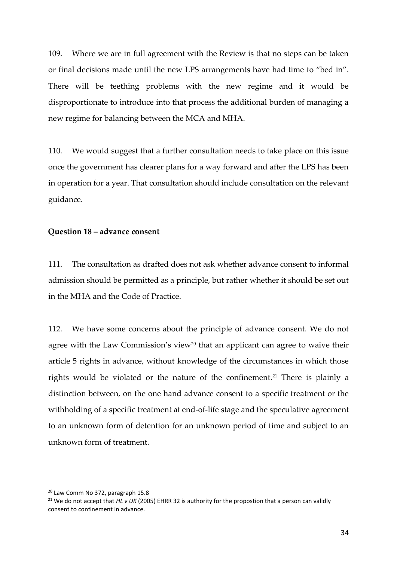109. Where we are in full agreement with the Review is that no steps can be taken or final decisions made until the new LPS arrangements have had time to "bed in". There will be teething problems with the new regime and it would be disproportionate to introduce into that process the additional burden of managing a new regime for balancing between the MCA and MHA.

110. We would suggest that a further consultation needs to take place on this issue once the government has clearer plans for a way forward and after the LPS has been in operation for a year. That consultation should include consultation on the relevant guidance.

### **Question 18 – advance consent**

111. The consultation as drafted does not ask whether advance consent to informal admission should be permitted as a principle, but rather whether it should be set out in the MHA and the Code of Practice.

112. We have some concerns about the principle of advance consent. We do not agree with the Law Commission's view<sup>20</sup> that an applicant can agree to waive their article 5 rights in advance, without knowledge of the circumstances in which those rights would be violated or the nature of the confinement.<sup>21</sup> There is plainly a distinction between, on the one hand advance consent to a specific treatment or the withholding of a specific treatment at end-of-life stage and the speculative agreement to an unknown form of detention for an unknown period of time and subject to an unknown form of treatment.

<sup>&</sup>lt;sup>20</sup> Law Comm No 372, paragraph 15.8

<sup>21</sup> We do not accept that *HL v UK* (2005) EHRR 32 is authority for the propostion that a person can validly consent to confinement in advance.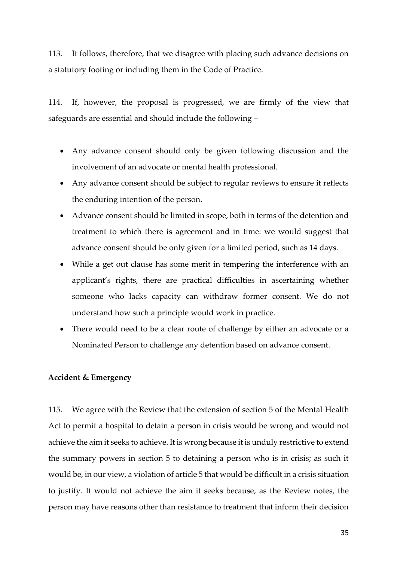113. It follows, therefore, that we disagree with placing such advance decisions on a statutory footing or including them in the Code of Practice.

114. If, however, the proposal is progressed, we are firmly of the view that safeguards are essential and should include the following –

- Any advance consent should only be given following discussion and the involvement of an advocate or mental health professional.
- Any advance consent should be subject to regular reviews to ensure it reflects the enduring intention of the person.
- Advance consent should be limited in scope, both in terms of the detention and treatment to which there is agreement and in time: we would suggest that advance consent should be only given for a limited period, such as 14 days.
- While a get out clause has some merit in tempering the interference with an applicant's rights, there are practical difficulties in ascertaining whether someone who lacks capacity can withdraw former consent. We do not understand how such a principle would work in practice.
- There would need to be a clear route of challenge by either an advocate or a Nominated Person to challenge any detention based on advance consent.

## **Accident & Emergency**

115. We agree with the Review that the extension of section 5 of the Mental Health Act to permit a hospital to detain a person in crisis would be wrong and would not achieve the aim it seeks to achieve. It is wrong because it is unduly restrictive to extend the summary powers in section 5 to detaining a person who is in crisis; as such it would be, in our view, a violation of article 5 that would be difficult in a crisis situation to justify. It would not achieve the aim it seeks because, as the Review notes, the person may have reasons other than resistance to treatment that inform their decision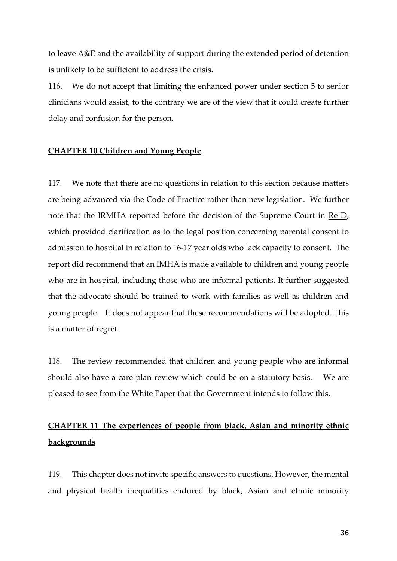to leave A&E and the availability of support during the extended period of detention is unlikely to be sufficient to address the crisis.

116. We do not accept that limiting the enhanced power under section 5 to senior clinicians would assist, to the contrary we are of the view that it could create further delay and confusion for the person.

## **CHAPTER 10 Children and Young People**

117. We note that there are no questions in relation to this section because matters are being advanced via the Code of Practice rather than new legislation. We further note that the IRMHA reported before the decision of the Supreme Court in Re D, which provided clarification as to the legal position concerning parental consent to admission to hospital in relation to 16-17 year olds who lack capacity to consent. The report did recommend that an IMHA is made available to children and young people who are in hospital, including those who are informal patients. It further suggested that the advocate should be trained to work with families as well as children and young people. It does not appear that these recommendations will be adopted. This is a matter of regret.

118. The review recommended that children and young people who are informal should also have a care plan review which could be on a statutory basis. We are pleased to see from the White Paper that the Government intends to follow this.

# **CHAPTER 11 The experiences of people from black, Asian and minority ethnic backgrounds**

119. This chapter does not invite specific answers to questions. However, the mental and physical health inequalities endured by black, Asian and ethnic minority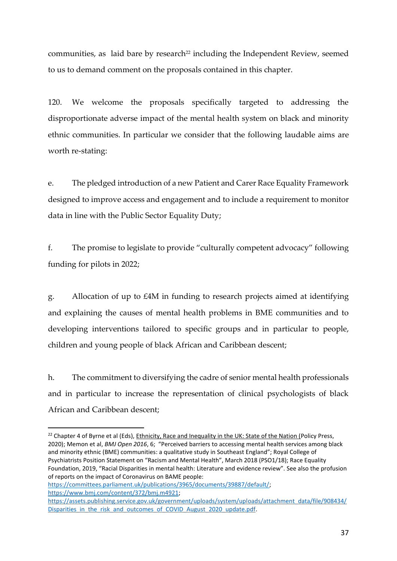communities, as laid bare by research<sup>22</sup> including the Independent Review, seemed to us to demand comment on the proposals contained in this chapter.

120. We welcome the proposals specifically targeted to addressing the disproportionate adverse impact of the mental health system on black and minority ethnic communities. In particular we consider that the following laudable aims are worth re-stating:

e. The pledged introduction of a new Patient and Carer Race Equality Framework designed to improve access and engagement and to include a requirement to monitor data in line with the Public Sector Equality Duty;

f. The promise to legislate to provide "culturally competent advocacy" following funding for pilots in 2022;

g. Allocation of up to £4M in funding to research projects aimed at identifying and explaining the causes of mental health problems in BME communities and to developing interventions tailored to specific groups and in particular to people, children and young people of black African and Caribbean descent;

h. The commitment to diversifying the cadre of senior mental health professionals and in particular to increase the representation of clinical psychologists of black African and Caribbean descent;

```
https://committees.parliament.uk/publications/3965/documents/39887/default/; 
https://www.bmj.com/content/372/bmj.m4921; 
https://assets.publishing.service.gov.uk/government/uploads/system/uploads/attachment_data/file/908434/
Disparities in the risk and outcomes of COVID August 2020 update.pdf.
```
<sup>&</sup>lt;sup>22</sup> Chapter 4 of Byrne et al (Eds), Ethnicity, Race and Inequality in the UK: State of the Nation (Policy Press, 2020); Memon et al, *BMJ Open 2016*, 6; "Perceived barriers to accessing mental health services among black and minority ethnic (BME) communities: a qualitative study in Southeast England"; Royal College of Psychiatrists Position Statement on "Racism and Mental Health", March 2018 (PSO1/18); Race Equality Foundation, 2019, "Racial Disparities in mental health: Literature and evidence review". See also the profusion of reports on the impact of Coronavirus on BAME people: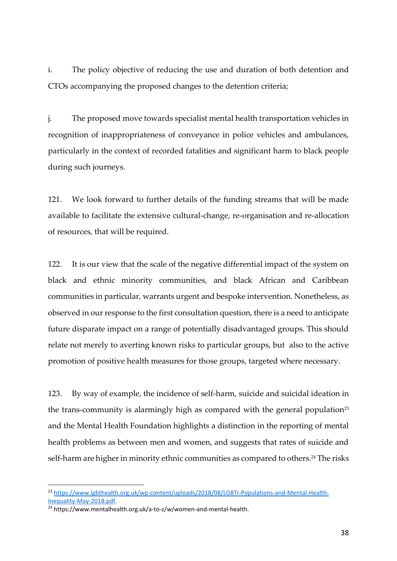i. The policy objective of reducing the use and duration of both detention and CTOs accompanying the proposed changes to the detention criteria;

j. The proposed move towards specialist mental health transportation vehicles in recognition of inappropriateness of conveyance in police vehicles and ambulances, particularly in the context of recorded fatalities and significant harm to black people during such journeys.

121. We look forward to further details of the funding streams that will be made available to facilitate the extensive cultural-change, re-organisation and re-allocation of resources, that will be required.

122. It is our view that the scale of the negative differential impact of the system on black and ethnic minority communities, and black African and Caribbean communities in particular, warrants urgent and bespoke intervention. Nonetheless, as observed in our response to the first consultation question, there is a need to anticipate future disparate impact on a range of potentially disadvantaged groups. This should relate not merely to averting known risks to particular groups, but also to the active promotion of positive health measures for those groups, targeted where necessary.

123. By way of example, the incidence of self-harm, suicide and suicidal ideation in the trans-community is alarmingly high as compared with the general population<sup>23</sup> and the Mental Health Foundation highlights a distinction in the reporting of mental health problems as between men and women, and suggests that rates of suicide and self-harm are higher in minority ethnic communities as compared to others.<sup>24</sup> The risks

<sup>23</sup> [https://www.lgbthealth.org.uk/wp-content/uploads/2018/08/LGBTI-Populations-and-Mental-Health-](https://www.lgbthealth.org.uk/wp-content/uploads/2018/08/LGBTI-Populations-and-Mental-Health-Inequality-May-2018.pdf)[Inequality-May-2018.pdf.](https://www.lgbthealth.org.uk/wp-content/uploads/2018/08/LGBTI-Populations-and-Mental-Health-Inequality-May-2018.pdf)

<sup>&</sup>lt;sup>24</sup> https://www.mentalhealth.org.uk/a-to-z/w/women-and-mental-health.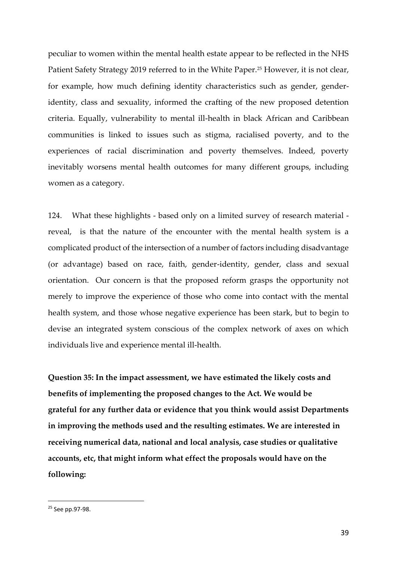peculiar to women within the mental health estate appear to be reflected in the NHS Patient Safety Strategy 2019 referred to in the White Paper.<sup>25</sup> However, it is not clear, for example, how much defining identity characteristics such as gender, genderidentity, class and sexuality, informed the crafting of the new proposed detention criteria. Equally, vulnerability to mental ill-health in black African and Caribbean communities is linked to issues such as stigma, racialised poverty, and to the experiences of racial discrimination and poverty themselves. Indeed, poverty inevitably worsens mental health outcomes for many different groups, including women as a category.

124. What these highlights - based only on a limited survey of research material reveal, is that the nature of the encounter with the mental health system is a complicated product of the intersection of a number of factors including disadvantage (or advantage) based on race, faith, gender-identity, gender, class and sexual orientation. Our concern is that the proposed reform grasps the opportunity not merely to improve the experience of those who come into contact with the mental health system, and those whose negative experience has been stark, but to begin to devise an integrated system conscious of the complex network of axes on which individuals live and experience mental ill-health.

**Question 35: In the impact assessment, we have estimated the likely costs and benefits of implementing the proposed changes to the Act. We would be grateful for any further data or evidence that you think would assist Departments in improving the methods used and the resulting estimates. We are interested in receiving numerical data, national and local analysis, case studies or qualitative accounts, etc, that might inform what effect the proposals would have on the following:**

<sup>&</sup>lt;sup>25</sup> See pp.97-98.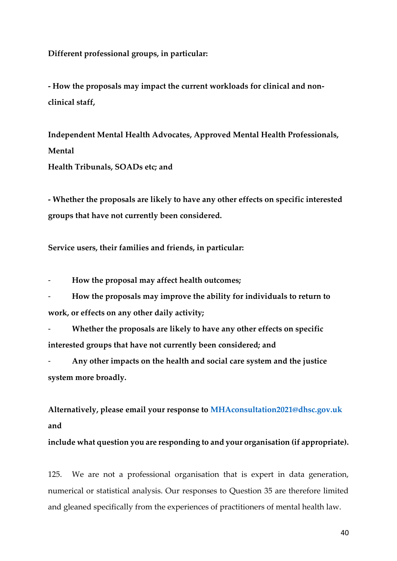**Different professional groups, in particular:**

**- How the proposals may impact the current workloads for clinical and nonclinical staff,**

**Independent Mental Health Advocates, Approved Mental Health Professionals, Mental**

**Health Tribunals, SOADs etc; and**

**- Whether the proposals are likely to have any other effects on specific interested groups that have not currently been considered.**

**Service users, their families and friends, in particular:**

- **How the proposal may affect health outcomes;**

- **How the proposals may improve the ability for individuals to return to work, or effects on any other daily activity;**

- **Whether the proposals are likely to have any other effects on specific interested groups that have not currently been considered; and**

- **Any other impacts on the health and social care system and the justice system more broadly.**

**Alternatively, please email your response to MHAconsultation2021@dhsc.gov.uk and**

**include what question you are responding to and your organisation (if appropriate).**

125. We are not a professional organisation that is expert in data generation, numerical or statistical analysis. Our responses to Question 35 are therefore limited and gleaned specifically from the experiences of practitioners of mental health law.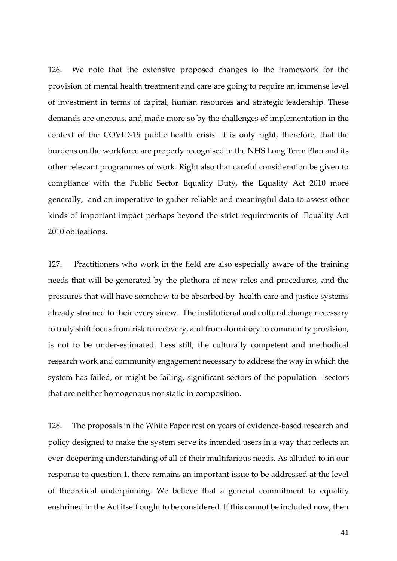126. We note that the extensive proposed changes to the framework for the provision of mental health treatment and care are going to require an immense level of investment in terms of capital, human resources and strategic leadership. These demands are onerous, and made more so by the challenges of implementation in the context of the COVID-19 public health crisis. It is only right, therefore, that the burdens on the workforce are properly recognised in the NHS Long Term Plan and its other relevant programmes of work. Right also that careful consideration be given to compliance with the Public Sector Equality Duty, the Equality Act 2010 more generally, and an imperative to gather reliable and meaningful data to assess other kinds of important impact perhaps beyond the strict requirements of Equality Act 2010 obligations.

127. Practitioners who work in the field are also especially aware of the training needs that will be generated by the plethora of new roles and procedures, and the pressures that will have somehow to be absorbed by health care and justice systems already strained to their every sinew. The institutional and cultural change necessary to truly shift focus from risk to recovery, and from dormitory to community provision, is not to be under-estimated. Less still, the culturally competent and methodical research work and community engagement necessary to address the way in which the system has failed, or might be failing, significant sectors of the population - sectors that are neither homogenous nor static in composition.

128. The proposals in the White Paper rest on years of evidence-based research and policy designed to make the system serve its intended users in a way that reflects an ever-deepening understanding of all of their multifarious needs. As alluded to in our response to question 1, there remains an important issue to be addressed at the level of theoretical underpinning. We believe that a general commitment to equality enshrined in the Act itself ought to be considered. If this cannot be included now, then